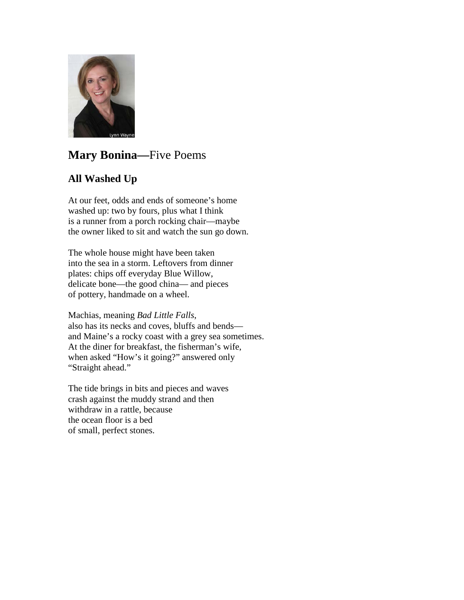

# **Mary Bonina—**Five Poems

## **All Washed Up**

At our feet, odds and ends of someone's home washed up: two by fours, plus what I think is a runner from a porch rocking chair—maybe the owner liked to sit and watch the sun go down.

The whole house might have been taken into the sea in a storm. Leftovers from dinner plates: chips off everyday Blue Willow, delicate bone—the good china— and pieces of pottery, handmade on a wheel.

Machias, meaning *Bad Little Falls*, also has its necks and coves, bluffs and bends and Maine's a rocky coast with a grey sea sometimes. At the diner for breakfast, the fisherman's wife, when asked "How's it going?" answered only "Straight ahead."

The tide brings in bits and pieces and waves crash against the muddy strand and then withdraw in a rattle, because the ocean floor is a bed of small, perfect stones.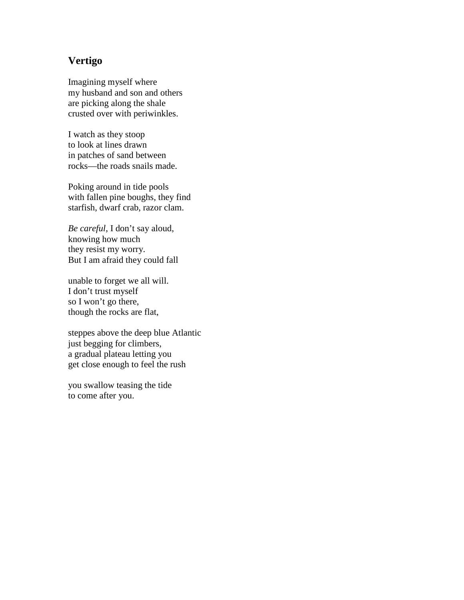### **Vertigo**

Imagining myself where my husband and son and others are picking along the shale crusted over with periwinkles.

I watch as they stoop to look at lines drawn in patches of sand between rocks—the roads snails made.

Poking around in tide pools with fallen pine boughs, they find starfish, dwarf crab, razor clam.

*Be careful*, I don't say aloud, knowing how much they resist my worry. But I am afraid they could fall

unable to forget we all will. I don't trust myself so I won't go there, though the rocks are flat,

steppes above the deep blue Atlantic just begging for climbers, a gradual plateau letting you get close enough to feel the rush

you swallow teasing the tide to come after you.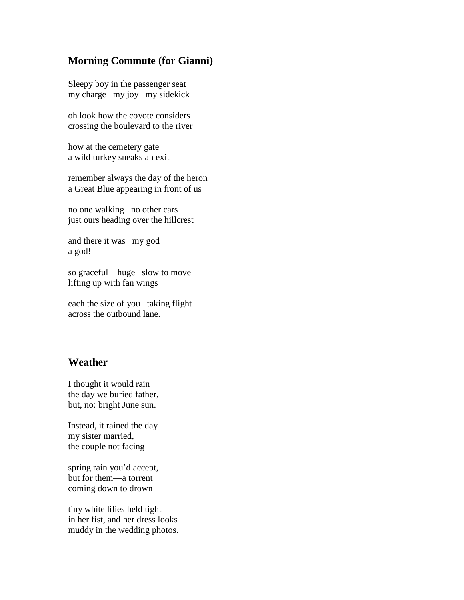### **Morning Commute (for Gianni)**

Sleepy boy in the passenger seat my charge my joy my sidekick

oh look how the coyote considers crossing the boulevard to the river

how at the cemetery gate a wild turkey sneaks an exit

remember always the day of the heron a Great Blue appearing in front of us

no one walking no other cars just ours heading over the hillcrest

and there it was my god a god!

so graceful huge slow to move lifting up with fan wings

each the size of you taking flight across the outbound lane.

#### **Weather**

I thought it would rain the day we buried father, but, no: bright June sun.

Instead, it rained the day my sister married, the couple not facing

spring rain you'd accept, but for them—a torrent coming down to drown

tiny white lilies held tight in her fist, and her dress looks muddy in the wedding photos.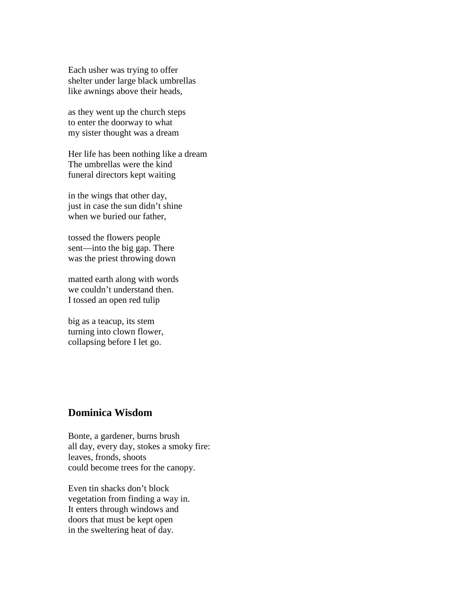Each usher was trying to offer shelter under large black umbrellas like awnings above their heads,

as they went up the church steps to enter the doorway to what my sister thought was a dream

Her life has been nothing like a dream The umbrellas were the kind funeral directors kept waiting

in the wings that other day, just in case the sun didn't shine when we buried our father,

tossed the flowers people sent—into the big gap. There was the priest throwing down

matted earth along with words we couldn't understand then. I tossed an open red tulip

big as a teacup, its stem turning into clown flower, collapsing before I let go.

#### **Dominica Wisdom**

Bonte, a gardener, burns brush all day, every day, stokes a smoky fire: leaves, fronds, shoots could become trees for the canopy.

Even tin shacks don't block vegetation from finding a way in. It enters through windows and doors that must be kept open in the sweltering heat of day.